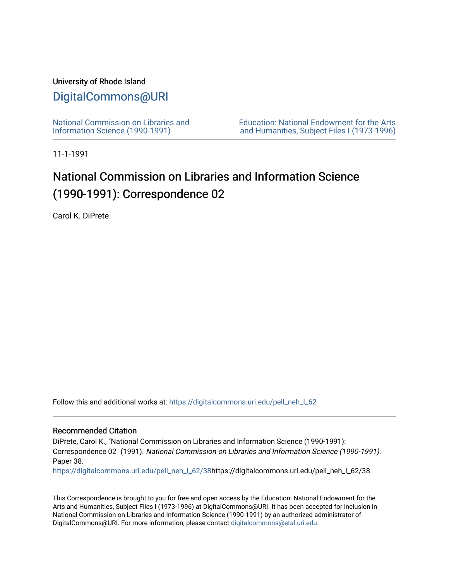## University of Rhode Island

## [DigitalCommons@URI](https://digitalcommons.uri.edu/)

[National Commission on Libraries and](https://digitalcommons.uri.edu/pell_neh_I_62) [Information Science \(1990-1991\)](https://digitalcommons.uri.edu/pell_neh_I_62) 

[Education: National Endowment for the Arts](https://digitalcommons.uri.edu/pell_neh_I)  [and Humanities, Subject Files I \(1973-1996\)](https://digitalcommons.uri.edu/pell_neh_I) 

11-1-1991

## National Commission on Libraries and Information Science (1990-1991): Correspondence 02

Carol K. DiPrete

Follow this and additional works at: [https://digitalcommons.uri.edu/pell\\_neh\\_I\\_62](https://digitalcommons.uri.edu/pell_neh_I_62?utm_source=digitalcommons.uri.edu%2Fpell_neh_I_62%2F38&utm_medium=PDF&utm_campaign=PDFCoverPages) 

## Recommended Citation

DiPrete, Carol K., "National Commission on Libraries and Information Science (1990-1991): Correspondence 02" (1991). National Commission on Libraries and Information Science (1990-1991). Paper 38.

[https://digitalcommons.uri.edu/pell\\_neh\\_I\\_62/38h](https://digitalcommons.uri.edu/pell_neh_I_62/38?utm_source=digitalcommons.uri.edu%2Fpell_neh_I_62%2F38&utm_medium=PDF&utm_campaign=PDFCoverPages)ttps://digitalcommons.uri.edu/pell\_neh\_I\_62/38

This Correspondence is brought to you for free and open access by the Education: National Endowment for the Arts and Humanities, Subject Files I (1973-1996) at DigitalCommons@URI. It has been accepted for inclusion in National Commission on Libraries and Information Science (1990-1991) by an authorized administrator of DigitalCommons@URI. For more information, please contact [digitalcommons@etal.uri.edu.](mailto:digitalcommons@etal.uri.edu)